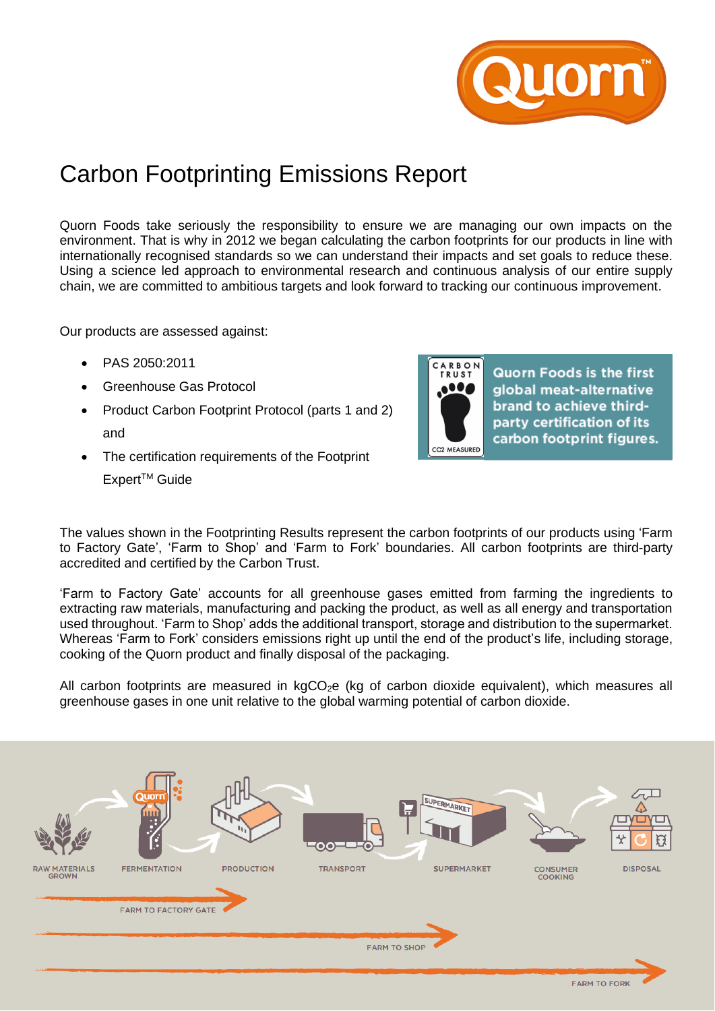

## Carbon Footprinting Emissions Report

Quorn Foods take seriously the responsibility to ensure we are managing our own impacts on the environment. That is why in 2012 we began calculating the carbon footprints for our products in line with internationally recognised standards so we can understand their impacts and set goals to reduce these. Using a science led approach to environmental research and continuous analysis of our entire supply chain, we are committed to ambitious targets and look forward to tracking our continuous improvement.

Our products are assessed against:

- PAS 2050:2011
- Greenhouse Gas Protocol
- Product Carbon Footprint Protocol (parts 1 and 2) and
- The certification requirements of the Footprint

Expert<sup>™</sup> Guide



**Quorn Foods is the first** global meat-alternative brand to achieve thirdparty certification of its carbon footprint figures.

The values shown in the Footprinting Results represent the carbon footprints of our products using 'Farm to Factory Gate', 'Farm to Shop' and 'Farm to Fork' boundaries. All carbon footprints are third-party accredited and certified by the Carbon Trust.

'Farm to Factory Gate' accounts for all greenhouse gases emitted from farming the ingredients to extracting raw materials, manufacturing and packing the product, as well as all energy and transportation used throughout. 'Farm to Shop' adds the additional transport, storage and distribution to the supermarket. Whereas 'Farm to Fork' considers emissions right up until the end of the product's life, including storage, cooking of the Quorn product and finally disposal of the packaging.

All carbon footprints are measured in  $kgCO<sub>2</sub>e$  (kg of carbon dioxide equivalent), which measures all greenhouse gases in one unit relative to the global warming potential of carbon dioxide.

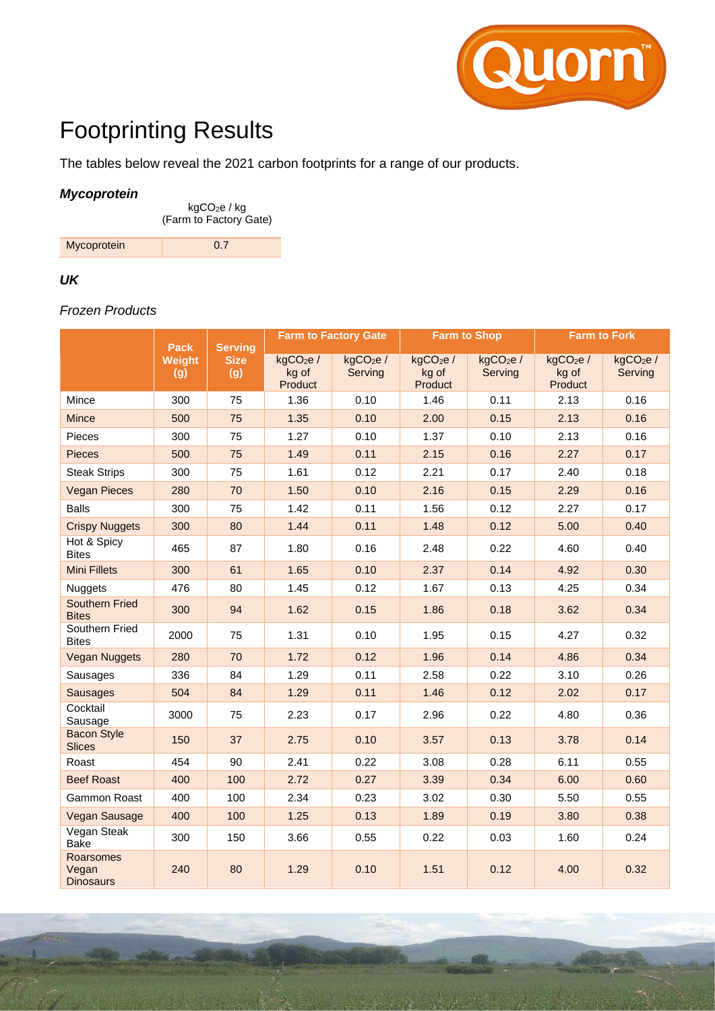

# Footprinting Results

The tables below reveal the 2021 carbon footprints for a range of our products.

#### *Mycoprotein*

kgCO2e / kg (Farm to Factory Gate)

| Mycoprotein |  |
|-------------|--|
|             |  |

#### *UK*

## *Frozen Products*

|                                        | <b>Pack</b><br><b>Serving</b> |                    |                                          | <b>Farm to Factory Gate</b>     | <b>Farm to Shop</b>                      |                                 | <b>Farm to Fork</b>                      |                                 |  |
|----------------------------------------|-------------------------------|--------------------|------------------------------------------|---------------------------------|------------------------------------------|---------------------------------|------------------------------------------|---------------------------------|--|
|                                        | Weight<br>(g)                 | <b>Size</b><br>(g) | kgCO <sub>2</sub> e/<br>kg of<br>Product | kgCO <sub>2</sub> e/<br>Serving | kgCO <sub>2</sub> e/<br>kg of<br>Product | kgCO <sub>2</sub> e/<br>Serving | kgCO <sub>2</sub> e/<br>kg of<br>Product | kgCO <sub>2</sub> e/<br>Serving |  |
| Mince                                  | 300                           | 75                 | 1.36                                     | 0.10                            | 1.46                                     | 0.11                            | 2.13                                     | 0.16                            |  |
| <b>Mince</b>                           | 500                           | 75                 | 1.35                                     | 0.10                            | 2.00                                     | 0.15                            | 2.13                                     | 0.16                            |  |
| Pieces                                 | 300                           | 75                 | 1.27                                     | 0.10                            | 1.37                                     | 0.10                            | 2.13                                     | 0.16                            |  |
| <b>Pieces</b>                          | 500                           | 75                 | 1.49                                     | 0.11                            | 2.15                                     | 0.16                            | 2.27                                     | 0.17                            |  |
| <b>Steak Strips</b>                    | 300                           | 75                 | 1.61                                     | 0.12                            | 2.21                                     | 0.17                            | 2.40                                     | 0.18                            |  |
| <b>Vegan Pieces</b>                    | 280                           | 70                 | 1.50                                     | 0.10                            | 2.16                                     | 0.15                            | 2.29                                     | 0.16                            |  |
| <b>Balls</b>                           | 300                           | 75                 | 1.42                                     | 0.11                            | 1.56                                     | 0.12                            | 2.27                                     | 0.17                            |  |
| <b>Crispy Nuggets</b>                  | 300                           | 80                 | 1.44                                     | 0.11                            | 1.48                                     | 0.12                            | 5.00                                     | 0.40                            |  |
| Hot & Spicy<br><b>Bites</b>            | 465                           | 87                 | 1.80                                     | 0.16                            | 2.48                                     | 0.22                            | 4.60                                     | 0.40                            |  |
| <b>Mini Fillets</b>                    | 300                           | 61                 | 1.65                                     | 0.10                            | 2.37                                     | 0.14                            | 4.92                                     | 0.30                            |  |
| <b>Nuggets</b>                         | 476                           | 80                 | 1.45                                     | 0.12                            | 1.67                                     | 0.13                            | 4.25                                     | 0.34                            |  |
| <b>Southern Fried</b><br><b>Bites</b>  | 300                           | 94                 | 1.62                                     | 0.15                            | 1.86                                     | 0.18                            | 3.62                                     | 0.34                            |  |
| Southern Fried<br><b>Bites</b>         | 2000                          | 75                 | 1.31                                     | 0.10                            | 1.95                                     | 0.15                            | 4.27                                     | 0.32                            |  |
| <b>Vegan Nuggets</b>                   | 280                           | 70                 | 1.72                                     | 0.12                            | 1.96                                     | 0.14                            | 4.86                                     | 0.34                            |  |
| Sausages                               | 336                           | 84                 | 1.29                                     | 0.11                            | 2.58                                     | 0.22                            | 3.10                                     | 0.26                            |  |
| <b>Sausages</b>                        | 504                           | 84                 | 1.29                                     | 0.11                            | 1.46                                     | 0.12                            | 2.02                                     | 0.17                            |  |
| Cocktail<br>Sausage                    | 3000                          | 75                 | 2.23                                     | 0.17                            | 2.96                                     | 0.22                            | 4.80                                     | 0.36                            |  |
| <b>Bacon Style</b><br><b>Slices</b>    | 150                           | 37                 | 2.75                                     | 0.10                            | 3.57                                     | 0.13                            | 3.78                                     | 0.14                            |  |
| Roast                                  | 454                           | 90                 | 2.41                                     | 0.22                            | 3.08                                     | 0.28                            | 6.11                                     | 0.55                            |  |
| <b>Beef Roast</b>                      | 400                           | 100                | 2.72                                     | 0.27                            | 3.39                                     | 0.34                            | 6.00                                     | 0.60                            |  |
| Gammon Roast                           | 400                           | 100                | 2.34                                     | 0.23                            | 3.02                                     | 0.30                            | 5.50                                     | 0.55                            |  |
| Vegan Sausage                          | 400                           | 100                | 1.25                                     | 0.13                            | 1.89                                     | 0.19                            | 3.80                                     | 0.38                            |  |
| Vegan Steak<br><b>Bake</b>             | 300                           | 150                | 3.66                                     | 0.55                            | 0.22                                     | 0.03                            | 1.60                                     | 0.24                            |  |
| Roarsomes<br>Vegan<br><b>Dinosaurs</b> | 240                           | 80                 | 1.29                                     | 0.10                            | 1.51                                     | 0.12                            | 4.00                                     | 0.32                            |  |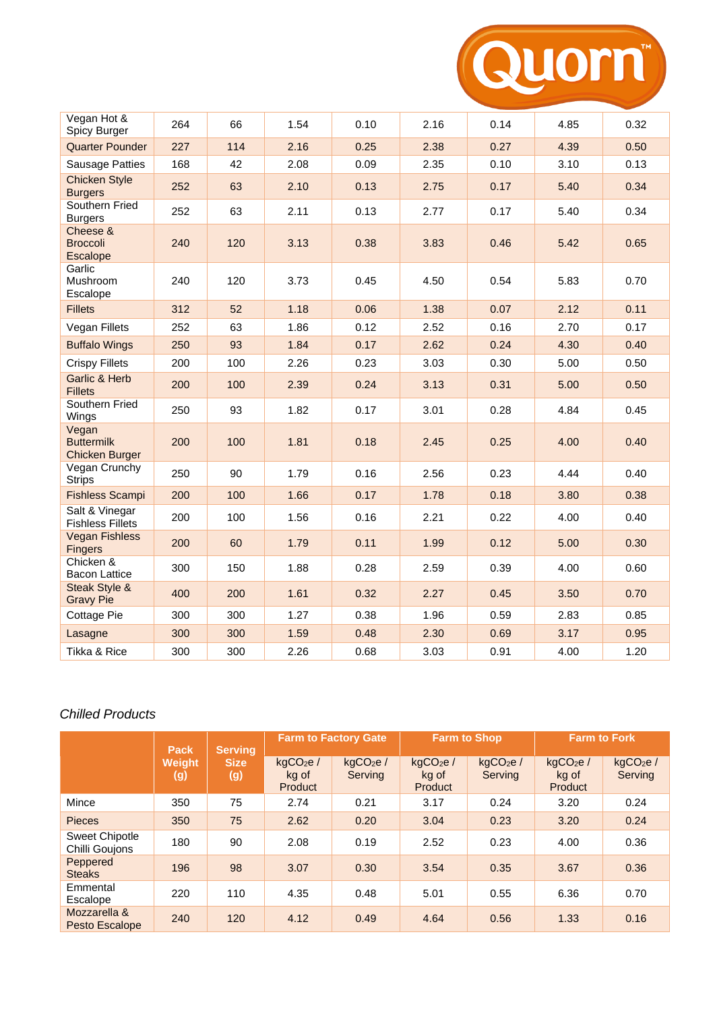

| Vegan Hot &<br>Spicy Burger                         | 264 | 66  | 1.54 | 0.10 | 2.16 | 0.14 | 4.85 | 0.32 |
|-----------------------------------------------------|-----|-----|------|------|------|------|------|------|
| <b>Quarter Pounder</b>                              | 227 | 114 | 2.16 | 0.25 | 2.38 | 0.27 | 4.39 | 0.50 |
| <b>Sausage Patties</b>                              | 168 | 42  | 2.08 | 0.09 | 2.35 | 0.10 | 3.10 | 0.13 |
| <b>Chicken Style</b><br><b>Burgers</b>              | 252 | 63  | 2.10 | 0.13 | 2.75 | 0.17 | 5.40 | 0.34 |
| Southern Fried<br><b>Burgers</b>                    | 252 | 63  | 2.11 | 0.13 | 2.77 | 0.17 | 5.40 | 0.34 |
| Cheese &<br><b>Broccoli</b><br>Escalope             | 240 | 120 | 3.13 | 0.38 | 3.83 | 0.46 | 5.42 | 0.65 |
| Garlic<br>Mushroom<br>Escalope                      | 240 | 120 | 3.73 | 0.45 | 4.50 | 0.54 | 5.83 | 0.70 |
| <b>Fillets</b>                                      | 312 | 52  | 1.18 | 0.06 | 1.38 | 0.07 | 2.12 | 0.11 |
| Vegan Fillets                                       | 252 | 63  | 1.86 | 0.12 | 2.52 | 0.16 | 2.70 | 0.17 |
| <b>Buffalo Wings</b>                                | 250 | 93  | 1.84 | 0.17 | 2.62 | 0.24 | 4.30 | 0.40 |
| <b>Crispy Fillets</b>                               | 200 | 100 | 2.26 | 0.23 | 3.03 | 0.30 | 5.00 | 0.50 |
| Garlic & Herb<br><b>Fillets</b>                     | 200 | 100 | 2.39 | 0.24 | 3.13 | 0.31 | 5.00 | 0.50 |
| Southern Fried<br>Wings                             | 250 | 93  | 1.82 | 0.17 | 3.01 | 0.28 | 4.84 | 0.45 |
| Vegan<br><b>Buttermilk</b><br><b>Chicken Burger</b> | 200 | 100 | 1.81 | 0.18 | 2.45 | 0.25 | 4.00 | 0.40 |
| Vegan Crunchy<br><b>Strips</b>                      | 250 | 90  | 1.79 | 0.16 | 2.56 | 0.23 | 4.44 | 0.40 |
| <b>Fishless Scampi</b>                              | 200 | 100 | 1.66 | 0.17 | 1.78 | 0.18 | 3.80 | 0.38 |
| Salt & Vinegar<br><b>Fishless Fillets</b>           | 200 | 100 | 1.56 | 0.16 | 2.21 | 0.22 | 4.00 | 0.40 |
| <b>Vegan Fishless</b><br>Fingers                    | 200 | 60  | 1.79 | 0.11 | 1.99 | 0.12 | 5.00 | 0.30 |
| Chicken &<br><b>Bacon Lattice</b>                   | 300 | 150 | 1.88 | 0.28 | 2.59 | 0.39 | 4.00 | 0.60 |
| Steak Style &<br><b>Gravy Pie</b>                   | 400 | 200 | 1.61 | 0.32 | 2.27 | 0.45 | 3.50 | 0.70 |
| Cottage Pie                                         | 300 | 300 | 1.27 | 0.38 | 1.96 | 0.59 | 2.83 | 0.85 |
| Lasagne                                             | 300 | 300 | 1.59 | 0.48 | 2.30 | 0.69 | 3.17 | 0.95 |
| Tikka & Rice                                        | 300 | 300 | 2.26 | 0.68 | 3.03 | 0.91 | 4.00 | 1.20 |

### *Chilled Products*

|                                         | <b>Pack</b>          | <b>Serving</b>     | <b>Farm to Factory Gate</b>              |                                 | <b>Farm to Shop</b>                      |                                 | <b>Farm to Fork</b>                      |                                 |
|-----------------------------------------|----------------------|--------------------|------------------------------------------|---------------------------------|------------------------------------------|---------------------------------|------------------------------------------|---------------------------------|
|                                         | <b>Weight</b><br>(g) | <b>Size</b><br>(g) | kqCO <sub>2</sub> e/<br>kg of<br>Product | kqCO <sub>2</sub> e/<br>Serving | kqCO <sub>2</sub> e/<br>kg of<br>Product | kqCO <sub>2</sub> e/<br>Serving | kqCO <sub>2</sub> e/<br>kg of<br>Product | kqCO <sub>2</sub> e/<br>Serving |
| Mince                                   | 350                  | 75                 | 2.74                                     | 0.21                            | 3.17                                     | 0.24                            | 3.20                                     | 0.24                            |
| <b>Pieces</b>                           | 350                  | 75                 | 2.62                                     | 0.20                            | 3.04                                     | 0.23                            | 3.20                                     | 0.24                            |
| <b>Sweet Chipotle</b><br>Chilli Goujons | 180                  | 90                 | 2.08                                     | 0.19                            | 2.52                                     | 0.23                            | 4.00                                     | 0.36                            |
| Peppered<br><b>Steaks</b>               | 196                  | 98                 | 3.07                                     | 0.30                            | 3.54                                     | 0.35                            | 3.67                                     | 0.36                            |
| Emmental<br>Escalope                    | 220                  | 110                | 4.35                                     | 0.48                            | 5.01                                     | 0.55                            | 6.36                                     | 0.70                            |
| Mozzarella &<br>Pesto Escalope          | 240                  | 120                | 4.12                                     | 0.49                            | 4.64                                     | 0.56                            | 1.33                                     | 0.16                            |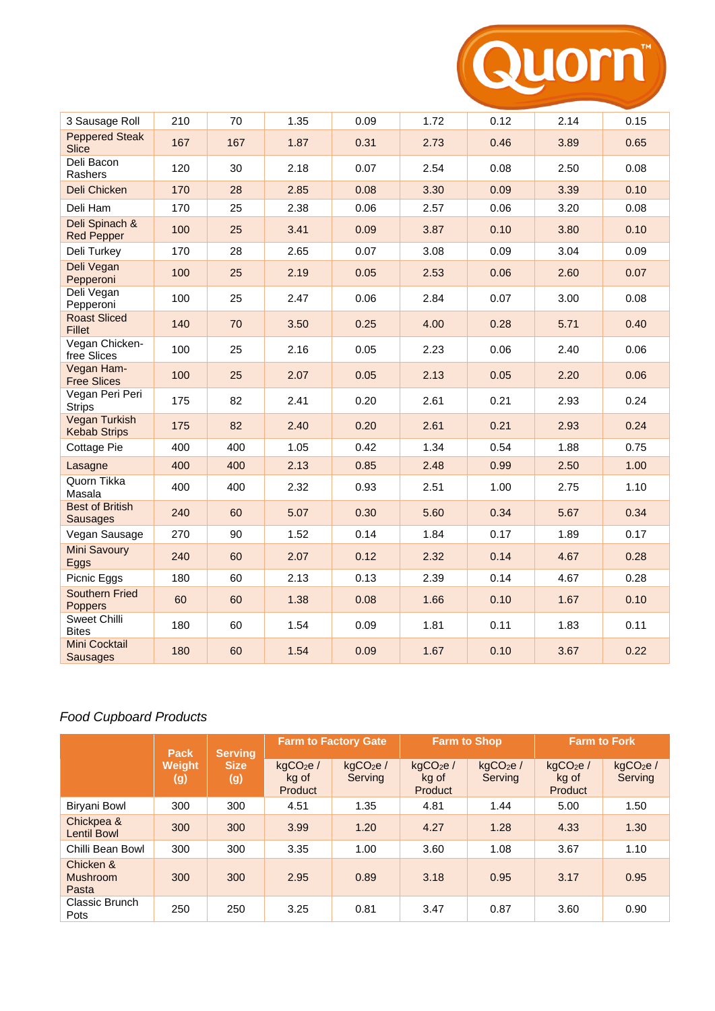

| 3 Sausage Roll                              | 210 | 70  | 1.35 | 0.09 | 1.72 | 0.12 | 2.14 | 0.15 |
|---------------------------------------------|-----|-----|------|------|------|------|------|------|
| <b>Peppered Steak</b><br><b>Slice</b>       | 167 | 167 | 1.87 | 0.31 | 2.73 | 0.46 | 3.89 | 0.65 |
| Deli Bacon<br>Rashers                       | 120 | 30  | 2.18 | 0.07 | 2.54 | 0.08 | 2.50 | 0.08 |
| Deli Chicken                                | 170 | 28  | 2.85 | 0.08 | 3.30 | 0.09 | 3.39 | 0.10 |
| Deli Ham                                    | 170 | 25  | 2.38 | 0.06 | 2.57 | 0.06 | 3.20 | 0.08 |
| Deli Spinach &<br><b>Red Pepper</b>         | 100 | 25  | 3.41 | 0.09 | 3.87 | 0.10 | 3.80 | 0.10 |
| Deli Turkey                                 | 170 | 28  | 2.65 | 0.07 | 3.08 | 0.09 | 3.04 | 0.09 |
| Deli Vegan<br>Pepperoni                     | 100 | 25  | 2.19 | 0.05 | 2.53 | 0.06 | 2.60 | 0.07 |
| Deli Vegan<br>Pepperoni                     | 100 | 25  | 2.47 | 0.06 | 2.84 | 0.07 | 3.00 | 0.08 |
| <b>Roast Sliced</b><br><b>Fillet</b>        | 140 | 70  | 3.50 | 0.25 | 4.00 | 0.28 | 5.71 | 0.40 |
| Vegan Chicken-<br>free Slices               | 100 | 25  | 2.16 | 0.05 | 2.23 | 0.06 | 2.40 | 0.06 |
| Vegan Ham-<br><b>Free Slices</b>            | 100 | 25  | 2.07 | 0.05 | 2.13 | 0.05 | 2.20 | 0.06 |
| Vegan Peri Peri<br><b>Strips</b>            | 175 | 82  | 2.41 | 0.20 | 2.61 | 0.21 | 2.93 | 0.24 |
| <b>Vegan Turkish</b><br><b>Kebab Strips</b> | 175 | 82  | 2.40 | 0.20 | 2.61 | 0.21 | 2.93 | 0.24 |
| Cottage Pie                                 | 400 | 400 | 1.05 | 0.42 | 1.34 | 0.54 | 1.88 | 0.75 |
| Lasagne                                     | 400 | 400 | 2.13 | 0.85 | 2.48 | 0.99 | 2.50 | 1.00 |
| Quorn Tikka<br>Masala                       | 400 | 400 | 2.32 | 0.93 | 2.51 | 1.00 | 2.75 | 1.10 |
| <b>Best of British</b><br><b>Sausages</b>   | 240 | 60  | 5.07 | 0.30 | 5.60 | 0.34 | 5.67 | 0.34 |
| Vegan Sausage                               | 270 | 90  | 1.52 | 0.14 | 1.84 | 0.17 | 1.89 | 0.17 |
| <b>Mini Savoury</b><br>Eggs                 | 240 | 60  | 2.07 | 0.12 | 2.32 | 0.14 | 4.67 | 0.28 |
| Picnic Eggs                                 | 180 | 60  | 2.13 | 0.13 | 2.39 | 0.14 | 4.67 | 0.28 |
| <b>Southern Fried</b><br>Poppers            | 60  | 60  | 1.38 | 0.08 | 1.66 | 0.10 | 1.67 | 0.10 |
| Sweet Chilli<br><b>Bites</b>                | 180 | 60  | 1.54 | 0.09 | 1.81 | 0.11 | 1.83 | 0.11 |
| Mini Cocktail<br><b>Sausages</b>            | 180 | 60  | 1.54 | 0.09 | 1.67 | 0.10 | 3.67 | 0.22 |

## *Food Cupboard Products*

|                                       | <b>Pack</b>          | <b>Serving</b>     | <b>Farm to Factory Gate</b>              |                                 | <b>Farm to Shop</b>                      |                                 | <b>Farm to Fork</b>                      |                                 |
|---------------------------------------|----------------------|--------------------|------------------------------------------|---------------------------------|------------------------------------------|---------------------------------|------------------------------------------|---------------------------------|
|                                       | <b>Weight</b><br>(g) | <b>Size</b><br>(g) | kqCO <sub>2</sub> e/<br>kg of<br>Product | kgCO <sub>2</sub> e/<br>Serving | kgCO <sub>2</sub> e/<br>kg of<br>Product | kgCO <sub>2</sub> e/<br>Serving | kgCO <sub>2</sub> e/<br>kg of<br>Product | kgCO <sub>2</sub> e/<br>Serving |
| Biryani Bowl                          | 300                  | 300                | 4.51                                     | 1.35                            | 4.81                                     | 1.44                            | 5.00                                     | 1.50                            |
| Chickpea &<br><b>Lentil Bowl</b>      | 300                  | 300                | 3.99                                     | 1.20                            | 4.27                                     | 1.28                            | 4.33                                     | 1.30                            |
| Chilli Bean Bowl                      | 300                  | 300                | 3.35                                     | 1.00                            | 3.60                                     | 1.08                            | 3.67                                     | 1.10                            |
| Chicken &<br><b>Mushroom</b><br>Pasta | 300                  | 300                | 2.95                                     | 0.89                            | 3.18                                     | 0.95                            | 3.17                                     | 0.95                            |
| Classic Brunch<br>Pots                | 250                  | 250                | 3.25                                     | 0.81                            | 3.47                                     | 0.87                            | 3.60                                     | 0.90                            |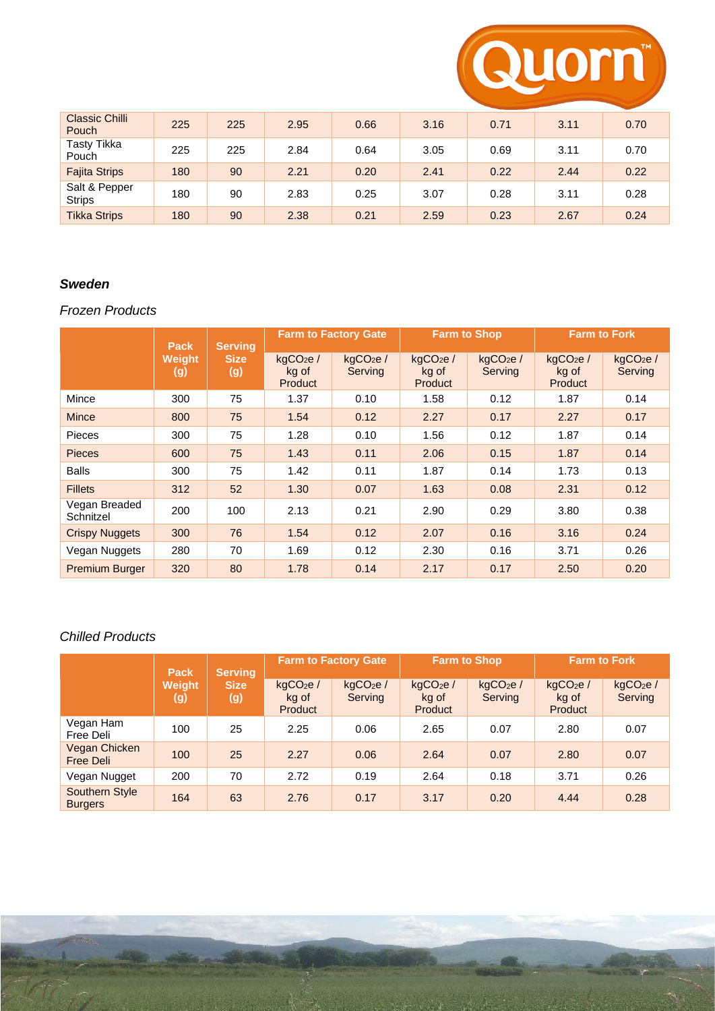

| <b>Classic Chilli</b><br>Pouch | 225 | 225 | 2.95 | 0.66 | 3.16 | 0.71 | 3.11 | 0.70 |
|--------------------------------|-----|-----|------|------|------|------|------|------|
| Tasty Tikka<br>Pouch           | 225 | 225 | 2.84 | 0.64 | 3.05 | 0.69 | 3.11 | 0.70 |
| <b>Fajita Strips</b>           | 180 | 90  | 2.21 | 0.20 | 2.41 | 0.22 | 2.44 | 0.22 |
| Salt & Pepper<br><b>Strips</b> | 180 | 90  | 2.83 | 0.25 | 3.07 | 0.28 | 3.11 | 0.28 |
| <b>Tikka Strips</b>            | 180 | 90  | 2.38 | 0.21 | 2.59 | 0.23 | 2.67 | 0.24 |

## *Sweden*

## *Frozen Products*

|                            | <b>Pack</b>   | <b>Serving</b>     | <b>Farm to Factory Gate</b>                     |                                 | <b>Farm to Shop</b>                      |                                 | <b>Farm to Fork</b>                      |                                  |
|----------------------------|---------------|--------------------|-------------------------------------------------|---------------------------------|------------------------------------------|---------------------------------|------------------------------------------|----------------------------------|
|                            | Weight<br>(g) | <b>Size</b><br>(g) | kgCO <sub>2</sub> e/<br>kg of<br><b>Product</b> | kgCO <sub>2</sub> e/<br>Serving | kgCO <sub>2</sub> e/<br>kg of<br>Product | kgCO <sub>2</sub> e/<br>Serving | kgCO <sub>2</sub> e/<br>kg of<br>Product | kgCO <sub>2</sub> e /<br>Serving |
| Mince                      | 300           | 75                 | 1.37                                            | 0.10                            | 1.58                                     | 0.12                            | 1.87                                     | 0.14                             |
| <b>Mince</b>               | 800           | 75                 | 1.54                                            | 0.12                            | 2.27                                     | 0.17                            | 2.27                                     | 0.17                             |
| <b>Pieces</b>              | 300           | 75                 | 1.28                                            | 0.10                            | 1.56                                     | 0.12                            | 1.87                                     | 0.14                             |
| <b>Pieces</b>              | 600           | 75                 | 1.43                                            | 0.11                            | 2.06                                     | 0.15                            | 1.87                                     | 0.14                             |
| <b>Balls</b>               | 300           | 75                 | 1.42                                            | 0.11                            | 1.87                                     | 0.14                            | 1.73                                     | 0.13                             |
| <b>Fillets</b>             | 312           | 52                 | 1.30                                            | 0.07                            | 1.63                                     | 0.08                            | 2.31                                     | 0.12                             |
| Vegan Breaded<br>Schnitzel | 200           | 100                | 2.13                                            | 0.21                            | 2.90                                     | 0.29                            | 3.80                                     | 0.38                             |
| <b>Crispy Nuggets</b>      | 300           | 76                 | 1.54                                            | 0.12                            | 2.07                                     | 0.16                            | 3.16                                     | 0.24                             |
| Vegan Nuggets              | 280           | 70                 | 1.69                                            | 0.12                            | 2.30                                     | 0.16                            | 3.71                                     | 0.26                             |
| <b>Premium Burger</b>      | 320           | 80                 | 1.78                                            | 0.14                            | 2.17                                     | 0.17                            | 2.50                                     | 0.20                             |

#### *Chilled Products*

|                                  | <b>Pack</b>          | <b>Serving</b>     | <b>Farm to Factory Gate</b>              |                                 | <b>Farm to Shop</b>                      |                                 | <b>Farm to Fork</b>                      |                                 |
|----------------------------------|----------------------|--------------------|------------------------------------------|---------------------------------|------------------------------------------|---------------------------------|------------------------------------------|---------------------------------|
|                                  | <b>Weight</b><br>(g) | <b>Size</b><br>(g) | kqCO <sub>2</sub> e/<br>kg of<br>Product | kqCO <sub>2</sub> e/<br>Serving | kqCO <sub>2</sub> e/<br>kg of<br>Product | kgCO <sub>2</sub> e/<br>Serving | kgCO <sub>2</sub> e/<br>kg of<br>Product | kgCO <sub>2</sub> e/<br>Serving |
| Vegan Ham<br>Free Deli           | 100                  | 25                 | 2.25                                     | 0.06                            | 2.65                                     | 0.07                            | 2.80                                     | 0.07                            |
| Vegan Chicken<br>Free Deli       | 100                  | 25                 | 2.27                                     | 0.06                            | 2.64                                     | 0.07                            | 2.80                                     | 0.07                            |
| Vegan Nugget                     | 200                  | 70                 | 2.72                                     | 0.19                            | 2.64                                     | 0.18                            | 3.71                                     | 0.26                            |
| Southern Style<br><b>Burgers</b> | 164                  | 63                 | 2.76                                     | 0.17                            | 3.17                                     | 0.20                            | 4.44                                     | 0.28                            |